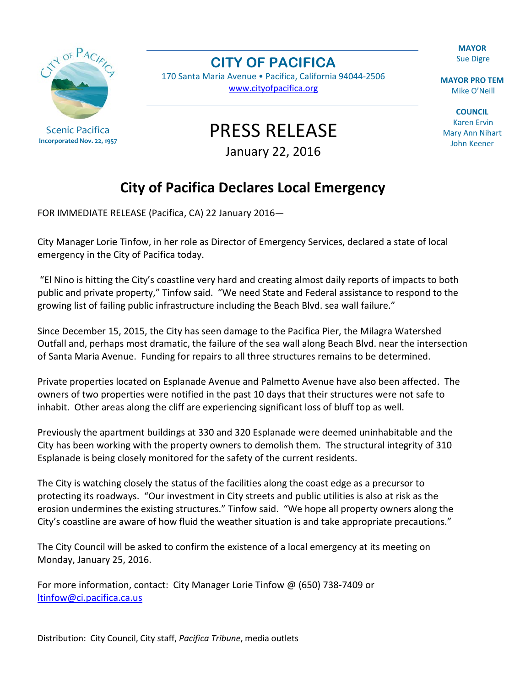**MAYOR** Sue Digre

**MAYOR PRO TEM** Mike O'Neill

**COUNCIL** Karen Ervin Mary Ann Nihart John Keener

Scenic Pacifica **Incorporated Nov. 22, 1957** **CITY OF PACIFICA**

170 Santa Maria Avenue • Pacifica, California 94044-2506 [www.cityofpacifica.org](http://www.cityofpacifica.org/)

PRESS RELEASE

January 22, 2016

## **City of Pacifica Declares Local Emergency**

FOR IMMEDIATE RELEASE (Pacifica, CA) 22 January 2016—

City Manager Lorie Tinfow, in her role as Director of Emergency Services, declared a state of local emergency in the City of Pacifica today.

"El Nino is hitting the City's coastline very hard and creating almost daily reports of impacts to both public and private property," Tinfow said. "We need State and Federal assistance to respond to the growing list of failing public infrastructure including the Beach Blvd. sea wall failure."

Since December 15, 2015, the City has seen damage to the Pacifica Pier, the Milagra Watershed Outfall and, perhaps most dramatic, the failure of the sea wall along Beach Blvd. near the intersection of Santa Maria Avenue. Funding for repairs to all three structures remains to be determined.

Private properties located on Esplanade Avenue and Palmetto Avenue have also been affected. The owners of two properties were notified in the past 10 days that their structures were not safe to inhabit. Other areas along the cliff are experiencing significant loss of bluff top as well.

Previously the apartment buildings at 330 and 320 Esplanade were deemed uninhabitable and the City has been working with the property owners to demolish them. The structural integrity of 310 Esplanade is being closely monitored for the safety of the current residents.

The City is watching closely the status of the facilities along the coast edge as a precursor to protecting its roadways. "Our investment in City streets and public utilities is also at risk as the erosion undermines the existing structures." Tinfow said. "We hope all property owners along the City's coastline are aware of how fluid the weather situation is and take appropriate precautions."

The City Council will be asked to confirm the existence of a local emergency at its meeting on Monday, January 25, 2016.

For more information, contact: City Manager Lorie Tinfow @ (650) 738-7409 or [ltinfow@ci.pacifica.ca.us](mailto:ltinfow@ci.pacifica.ca.us)

Distribution: City Council, City staff, *Pacifica Tribune*, media outlets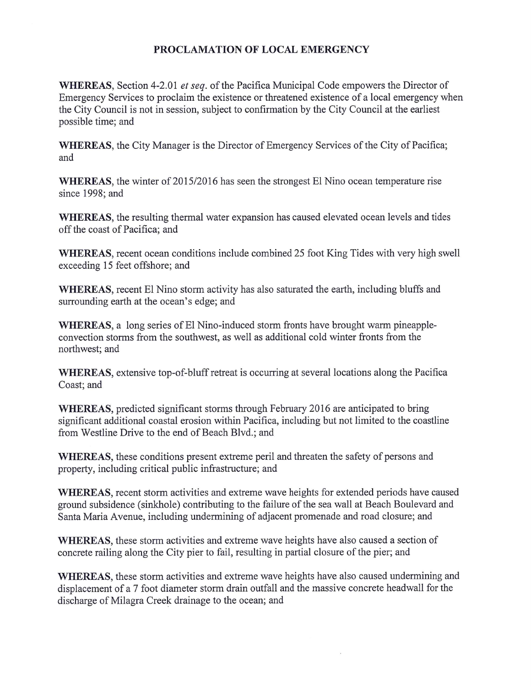## PROCLAMATION OF LOCAL EMERGENCY

WHEREAS, Section 4-2.01 et seq. of the Pacifica Municipal Code empowers the Director of Emergency Services to proclaim the existence or threatened existence of a local emergency when the City Council is not in session, subject to confirmation by the City Council at the earliest possible time; and

**WHEREAS**, the City Manager is the Director of Emergency Services of the City of Pacifica; and

WHEREAS, the winter of 2015/2016 has seen the strongest El Nino ocean temperature rise since 1998; and

WHEREAS, the resulting thermal water expansion has caused elevated ocean levels and tides off the coast of Pacifica; and

WHEREAS, recent ocean conditions include combined 25 foot King Tides with very high swell exceeding 15 feet offshore; and

WHEREAS, recent El Nino storm activity has also saturated the earth, including bluffs and surrounding earth at the ocean's edge; and

WHEREAS, a long series of El Nino-induced storm fronts have brought warm pineappleconvection storms from the southwest, as well as additional cold winter fronts from the northwest; and

WHEREAS, extensive top-of-bluff retreat is occurring at several locations along the Pacifica Coast; and

WHEREAS, predicted significant storms through February 2016 are anticipated to bring significant additional coastal erosion within Pacifica, including but not limited to the coastline from Westline Drive to the end of Beach Blvd.; and

WHEREAS, these conditions present extreme peril and threaten the safety of persons and property, including critical public infrastructure; and

WHEREAS, recent storm activities and extreme wave heights for extended periods have caused ground subsidence (sinkhole) contributing to the failure of the sea wall at Beach Boulevard and Santa Maria Avenue, including undermining of adjacent promenade and road closure; and

WHEREAS, these storm activities and extreme wave heights have also caused a section of concrete railing along the City pier to fail, resulting in partial closure of the pier; and

WHEREAS, these storm activities and extreme wave heights have also caused undermining and displacement of a 7 foot diameter storm drain outfall and the massive concrete headwall for the discharge of Milagra Creek drainage to the ocean; and